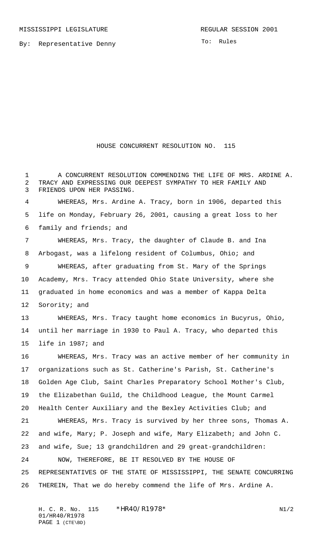By: Representative Denny

To: Rules

## HOUSE CONCURRENT RESOLUTION NO. 115

 A CONCURRENT RESOLUTION COMMENDING THE LIFE OF MRS. ARDINE A. TRACY AND EXPRESSING OUR DEEPEST SYMPATHY TO HER FAMILY AND FRIENDS UPON HER PASSING. WHEREAS, Mrs. Ardine A. Tracy, born in 1906, departed this life on Monday, February 26, 2001, causing a great loss to her family and friends; and WHEREAS, Mrs. Tracy, the daughter of Claude B. and Ina Arbogast, was a lifelong resident of Columbus, Ohio; and WHEREAS, after graduating from St. Mary of the Springs Academy, Mrs. Tracy attended Ohio State University, where she graduated in home economics and was a member of Kappa Delta Sorority; and WHEREAS, Mrs. Tracy taught home economics in Bucyrus, Ohio, until her marriage in 1930 to Paul A. Tracy, who departed this life in 1987; and WHEREAS, Mrs. Tracy was an active member of her community in organizations such as St. Catherine's Parish, St. Catherine's Golden Age Club, Saint Charles Preparatory School Mother's Club, the Elizabethan Guild, the Childhood League, the Mount Carmel Health Center Auxiliary and the Bexley Activities Club; and WHEREAS, Mrs. Tracy is survived by her three sons, Thomas A. and wife, Mary; P. Joseph and wife, Mary Elizabeth; and John C. and wife, Sue; 13 grandchildren and 29 great-grandchildren: NOW, THEREFORE, BE IT RESOLVED BY THE HOUSE OF REPRESENTATIVES OF THE STATE OF MISSISSIPPI, THE SENATE CONCURRING THEREIN, That we do hereby commend the life of Mrs. Ardine A.

H. C. R. No. \*HR40/R1978\* N1/2 01/HR40/R1978 PAGE 1 (CTE\BD)